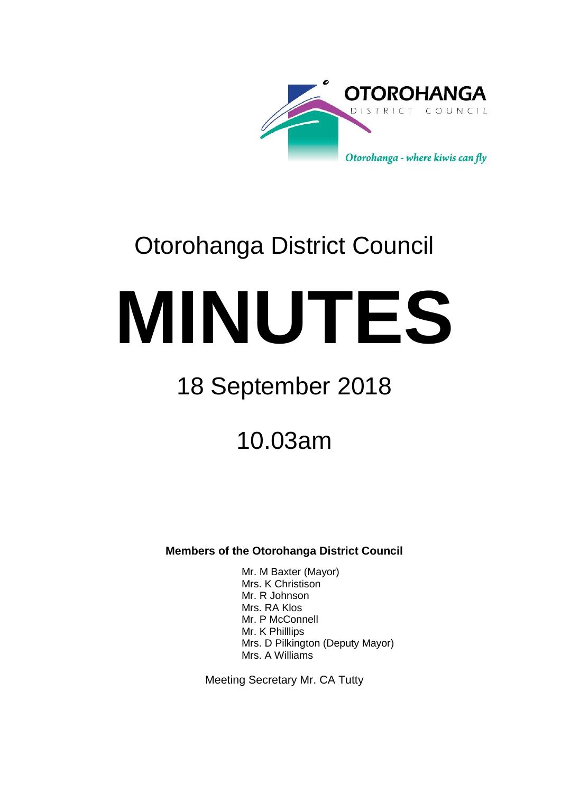

# Otorohanga District Council

**MINUTES**

## 18 September 2018

10.03am

**Members of the Otorohanga District Council**

Mr. M Baxter (Mayor) Mrs. K Christison Mr. R Johnson Mrs. RA Klos Mr. P McConnell Mr. K Philllips Mrs. D Pilkington (Deputy Mayor) Mrs. A Williams

Meeting Secretary Mr. CA Tutty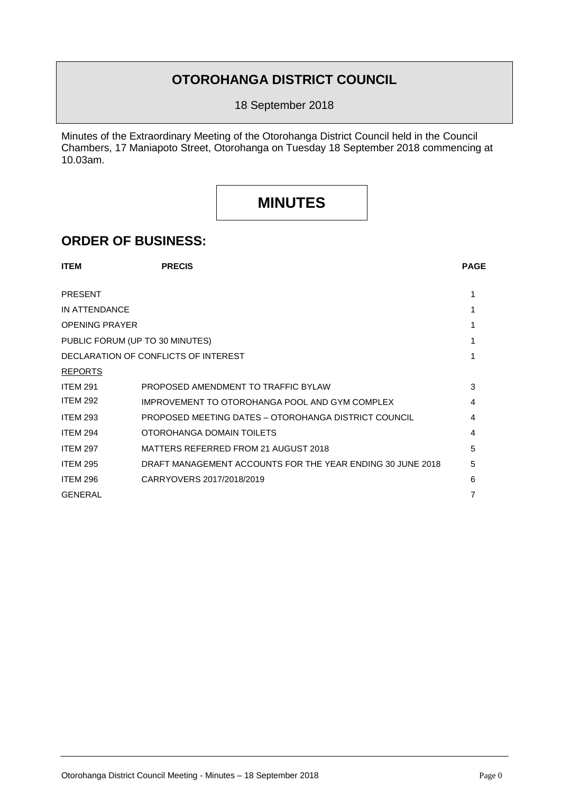### **OTOROHANGA DISTRICT COUNCIL**

18 September 2018

Minutes of the Extraordinary Meeting of the Otorohanga District Council held in the Council Chambers, 17 Maniapoto Street, Otorohanga on Tuesday 18 September 2018 commencing at 10.03am.

## **MINUTES**

### **ORDER OF BUSINESS:**

| <b>ITEM</b>                     | <b>PRECIS</b>                                              | <b>PAGE</b> |  |  |  |
|---------------------------------|------------------------------------------------------------|-------------|--|--|--|
| <b>PRESENT</b>                  |                                                            | 1           |  |  |  |
| IN ATTENDANCE                   |                                                            |             |  |  |  |
| <b>OPENING PRAYER</b>           |                                                            |             |  |  |  |
| PUBLIC FORUM (UP TO 30 MINUTES) |                                                            |             |  |  |  |
|                                 | DECLARATION OF CONFLICTS OF INTEREST                       |             |  |  |  |
| <b>REPORTS</b>                  |                                                            |             |  |  |  |
| <b>ITEM 291</b>                 | PROPOSED AMENDMENT TO TRAFFIC BYLAW                        | 3           |  |  |  |
| <b>ITEM 292</b>                 | IMPROVEMENT TO OTOROHANGA POOL AND GYM COMPLEX             | 4           |  |  |  |
| <b>ITEM 293</b>                 | PROPOSED MEETING DATES - OTOROHANGA DISTRICT COUNCIL       | 4           |  |  |  |
| <b>ITEM 294</b>                 | OTOROHANGA DOMAIN TOILETS                                  | 4           |  |  |  |
| <b>ITEM 297</b>                 | MATTERS REFERRED FROM 21 AUGUST 2018                       | 5           |  |  |  |
| <b>ITEM 295</b>                 | DRAFT MANAGEMENT ACCOUNTS FOR THE YEAR ENDING 30 JUNE 2018 | 5           |  |  |  |
| <b>ITEM 296</b>                 | CARRYOVERS 2017/2018/2019                                  | 6           |  |  |  |
| <b>GENERAL</b>                  |                                                            | 7           |  |  |  |
|                                 |                                                            |             |  |  |  |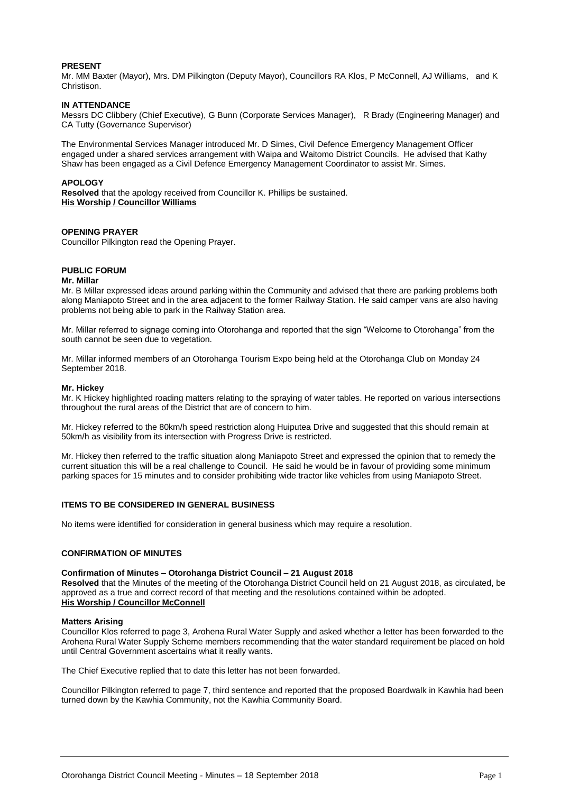#### **PRESENT**

Mr. MM Baxter (Mayor), Mrs. DM Pilkington (Deputy Mayor), Councillors RA Klos, P McConnell, AJ Williams, and K Christison.

#### **IN ATTENDANCE**

Messrs DC Clibbery (Chief Executive), G Bunn (Corporate Services Manager), R Brady (Engineering Manager) and CA Tutty (Governance Supervisor)

The Environmental Services Manager introduced Mr. D Simes, Civil Defence Emergency Management Officer engaged under a shared services arrangement with Waipa and Waitomo District Councils. He advised that Kathy Shaw has been engaged as a Civil Defence Emergency Management Coordinator to assist Mr. Simes.

#### **APOLOGY**

**Resolved** that the apology received from Councillor K. Phillips be sustained. **His Worship / Councillor Williams**

#### **OPENING PRAYER**

Councillor Pilkington read the Opening Prayer.

#### **PUBLIC FORUM**

#### **Mr. Millar**

Mr. B Millar expressed ideas around parking within the Community and advised that there are parking problems both along Maniapoto Street and in the area adjacent to the former Railway Station. He said camper vans are also having problems not being able to park in the Railway Station area.

Mr. Millar referred to signage coming into Otorohanga and reported that the sign "Welcome to Otorohanga" from the south cannot be seen due to vegetation.

Mr. Millar informed members of an Otorohanga Tourism Expo being held at the Otorohanga Club on Monday 24 September 2018.

#### **Mr. Hickey**

Mr. K Hickey highlighted roading matters relating to the spraying of water tables. He reported on various intersections throughout the rural areas of the District that are of concern to him.

Mr. Hickey referred to the 80km/h speed restriction along Huiputea Drive and suggested that this should remain at 50km/h as visibility from its intersection with Progress Drive is restricted.

Mr. Hickey then referred to the traffic situation along Maniapoto Street and expressed the opinion that to remedy the current situation this will be a real challenge to Council. He said he would be in favour of providing some minimum parking spaces for 15 minutes and to consider prohibiting wide tractor like vehicles from using Maniapoto Street.

#### **ITEMS TO BE CONSIDERED IN GENERAL BUSINESS**

No items were identified for consideration in general business which may require a resolution.

#### **CONFIRMATION OF MINUTES**

#### **Confirmation of Minutes – Otorohanga District Council – 21 August 2018**

**Resolved** that the Minutes of the meeting of the Otorohanga District Council held on 21 August 2018, as circulated, be approved as a true and correct record of that meeting and the resolutions contained within be adopted. **His Worship / Councillor McConnell** 

#### **Matters Arising**

Councillor Klos referred to page 3, Arohena Rural Water Supply and asked whether a letter has been forwarded to the Arohena Rural Water Supply Scheme members recommending that the water standard requirement be placed on hold until Central Government ascertains what it really wants.

The Chief Executive replied that to date this letter has not been forwarded.

Councillor Pilkington referred to page 7, third sentence and reported that the proposed Boardwalk in Kawhia had been turned down by the Kawhia Community, not the Kawhia Community Board.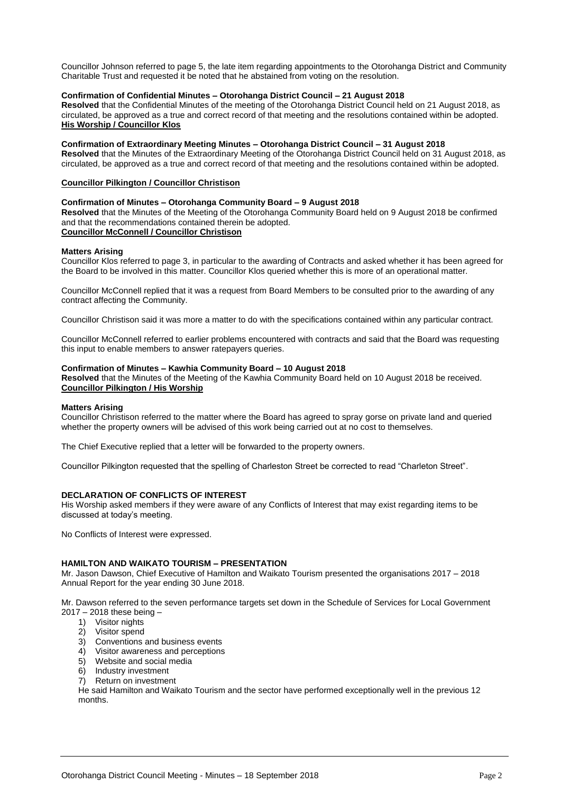Councillor Johnson referred to page 5, the late item regarding appointments to the Otorohanga District and Community Charitable Trust and requested it be noted that he abstained from voting on the resolution.

#### **Confirmation of Confidential Minutes – Otorohanga District Council – 21 August 2018**

**Resolved** that the Confidential Minutes of the meeting of the Otorohanga District Council held on 21 August 2018, as circulated, be approved as a true and correct record of that meeting and the resolutions contained within be adopted. **His Worship / Councillor Klos**

#### **Confirmation of Extraordinary Meeting Minutes – Otorohanga District Council – 31 August 2018**

**Resolved** that the Minutes of the Extraordinary Meeting of the Otorohanga District Council held on 31 August 2018, as circulated, be approved as a true and correct record of that meeting and the resolutions contained within be adopted.

#### **Councillor Pilkington / Councillor Christison**

#### **Confirmation of Minutes – Otorohanga Community Board – 9 August 2018**

**Resolved** that the Minutes of the Meeting of the Otorohanga Community Board held on 9 August 2018 be confirmed and that the recommendations contained therein be adopted. **Councillor McConnell / Councillor Christison**

#### **Matters Arising**

Councillor Klos referred to page 3, in particular to the awarding of Contracts and asked whether it has been agreed for the Board to be involved in this matter. Councillor Klos queried whether this is more of an operational matter.

Councillor McConnell replied that it was a request from Board Members to be consulted prior to the awarding of any contract affecting the Community.

Councillor Christison said it was more a matter to do with the specifications contained within any particular contract.

Councillor McConnell referred to earlier problems encountered with contracts and said that the Board was requesting this input to enable members to answer ratepayers queries.

#### **Confirmation of Minutes – Kawhia Community Board – 10 August 2018**

**Resolved** that the Minutes of the Meeting of the Kawhia Community Board held on 10 August 2018 be received. **Councillor Pilkington / His Worship** 

#### **Matters Arising**

Councillor Christison referred to the matter where the Board has agreed to spray gorse on private land and queried whether the property owners will be advised of this work being carried out at no cost to themselves.

The Chief Executive replied that a letter will be forwarded to the property owners.

Councillor Pilkington requested that the spelling of Charleston Street be corrected to read "Charleton Street".

#### **DECLARATION OF CONFLICTS OF INTEREST**

His Worship asked members if they were aware of any Conflicts of Interest that may exist regarding items to be discussed at today's meeting.

No Conflicts of Interest were expressed.

#### **HAMILTON AND WAIKATO TOURISM – PRESENTATION**

Mr. Jason Dawson, Chief Executive of Hamilton and Waikato Tourism presented the organisations 2017 – 2018 Annual Report for the year ending 30 June 2018.

Mr. Dawson referred to the seven performance targets set down in the Schedule of Services for Local Government 2017 – 2018 these being –

- 1) Visitor nights
- 2) Visitor spend
- 3) Conventions and business events
- 4) Visitor awareness and perceptions
- 5) Website and social media
- 6) Industry investment
- 7) Return on investment

He said Hamilton and Waikato Tourism and the sector have performed exceptionally well in the previous 12 months.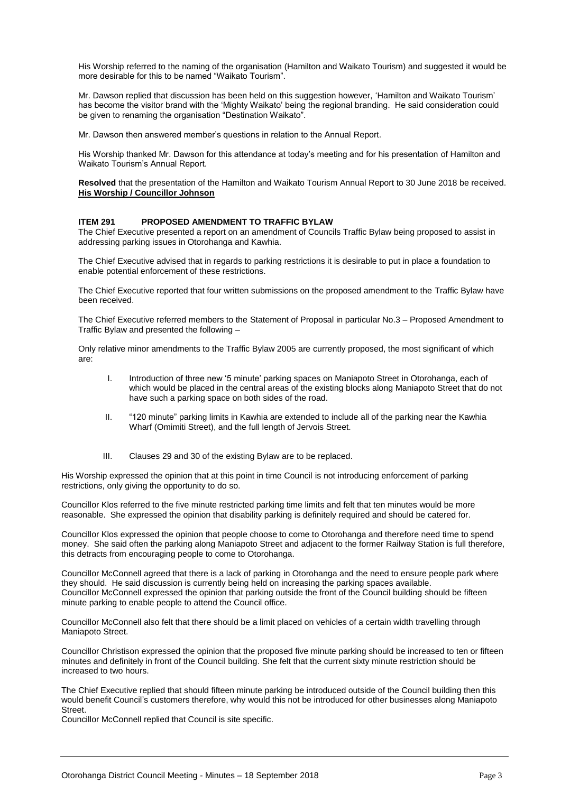His Worship referred to the naming of the organisation (Hamilton and Waikato Tourism) and suggested it would be more desirable for this to be named "Waikato Tourism".

Mr. Dawson replied that discussion has been held on this suggestion however, 'Hamilton and Waikato Tourism' has become the visitor brand with the 'Mighty Waikato' being the regional branding. He said consideration could be given to renaming the organisation "Destination Waikato".

Mr. Dawson then answered member's questions in relation to the Annual Report.

His Worship thanked Mr. Dawson for this attendance at today's meeting and for his presentation of Hamilton and Waikato Tourism's Annual Report.

**Resolved** that the presentation of the Hamilton and Waikato Tourism Annual Report to 30 June 2018 be received. **His Worship / Councillor Johnson**

#### **ITEM 291 PROPOSED AMENDMENT TO TRAFFIC BYLAW**

The Chief Executive presented a report on an amendment of Councils Traffic Bylaw being proposed to assist in addressing parking issues in Otorohanga and Kawhia.

The Chief Executive advised that in regards to parking restrictions it is desirable to put in place a foundation to enable potential enforcement of these restrictions.

The Chief Executive reported that four written submissions on the proposed amendment to the Traffic Bylaw have been received.

The Chief Executive referred members to the Statement of Proposal in particular No.3 – Proposed Amendment to Traffic Bylaw and presented the following –

Only relative minor amendments to the Traffic Bylaw 2005 are currently proposed, the most significant of which are:

- I. Introduction of three new '5 minute' parking spaces on Maniapoto Street in Otorohanga, each of which would be placed in the central areas of the existing blocks along Maniapoto Street that do not have such a parking space on both sides of the road.
- II. "120 minute" parking limits in Kawhia are extended to include all of the parking near the Kawhia Wharf (Omimiti Street), and the full length of Jervois Street.
- III. Clauses 29 and 30 of the existing Bylaw are to be replaced.

His Worship expressed the opinion that at this point in time Council is not introducing enforcement of parking restrictions, only giving the opportunity to do so.

Councillor Klos referred to the five minute restricted parking time limits and felt that ten minutes would be more reasonable. She expressed the opinion that disability parking is definitely required and should be catered for.

Councillor Klos expressed the opinion that people choose to come to Otorohanga and therefore need time to spend money. She said often the parking along Maniapoto Street and adjacent to the former Railway Station is full therefore, this detracts from encouraging people to come to Otorohanga.

Councillor McConnell agreed that there is a lack of parking in Otorohanga and the need to ensure people park where they should. He said discussion is currently being held on increasing the parking spaces available. Councillor McConnell expressed the opinion that parking outside the front of the Council building should be fifteen minute parking to enable people to attend the Council office.

Councillor McConnell also felt that there should be a limit placed on vehicles of a certain width travelling through Maniapoto Street.

Councillor Christison expressed the opinion that the proposed five minute parking should be increased to ten or fifteen minutes and definitely in front of the Council building. She felt that the current sixty minute restriction should be increased to two hours.

The Chief Executive replied that should fifteen minute parking be introduced outside of the Council building then this would benefit Council's customers therefore, why would this not be introduced for other businesses along Maniapoto Street.

Councillor McConnell replied that Council is site specific.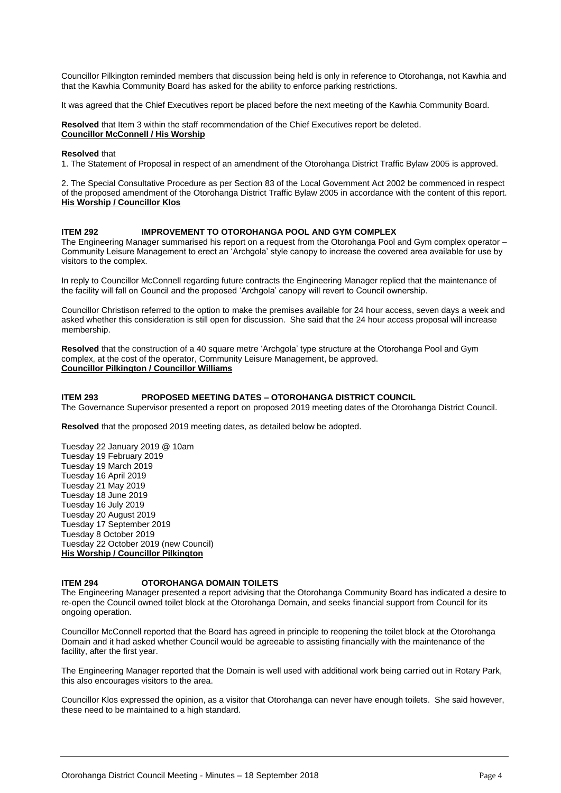Councillor Pilkington reminded members that discussion being held is only in reference to Otorohanga, not Kawhia and that the Kawhia Community Board has asked for the ability to enforce parking restrictions.

It was agreed that the Chief Executives report be placed before the next meeting of the Kawhia Community Board.

**Resolved** that Item 3 within the staff recommendation of the Chief Executives report be deleted. **Councillor McConnell / His Worship**

#### **Resolved** that

1. The Statement of Proposal in respect of an amendment of the Otorohanga District Traffic Bylaw 2005 is approved.

2. The Special Consultative Procedure as per Section 83 of the Local Government Act 2002 be commenced in respect of the proposed amendment of the Otorohanga District Traffic Bylaw 2005 in accordance with the content of this report. **His Worship / Councillor Klos**

#### **ITEM 292 IMPROVEMENT TO OTOROHANGA POOL AND GYM COMPLEX**

The Engineering Manager summarised his report on a request from the Otorohanga Pool and Gym complex operator – Community Leisure Management to erect an 'Archgola' style canopy to increase the covered area available for use by visitors to the complex.

In reply to Councillor McConnell regarding future contracts the Engineering Manager replied that the maintenance of the facility will fall on Council and the proposed 'Archgola' canopy will revert to Council ownership.

Councillor Christison referred to the option to make the premises available for 24 hour access, seven days a week and asked whether this consideration is still open for discussion. She said that the 24 hour access proposal will increase membership.

**Resolved** that the construction of a 40 square metre 'Archgola' type structure at the Otorohanga Pool and Gym complex, at the cost of the operator, Community Leisure Management, be approved. **Councillor Pilkington / Councillor Williams**

#### **ITEM 293 PROPOSED MEETING DATES – OTOROHANGA DISTRICT COUNCIL**

The Governance Supervisor presented a report on proposed 2019 meeting dates of the Otorohanga District Council.

**Resolved** that the proposed 2019 meeting dates, as detailed below be adopted.

Tuesday 22 January 2019 @ 10am Tuesday 19 February 2019 Tuesday 19 March 2019 Tuesday 16 April 2019 Tuesday 21 May 2019 Tuesday 18 June 2019 Tuesday 16 July 2019 Tuesday 20 August 2019 Tuesday 17 September 2019 Tuesday 8 October 2019 Tuesday 22 October 2019 (new Council) **His Worship / Councillor Pilkington**

#### **ITEM 294 OTOROHANGA DOMAIN TOILETS**

The Engineering Manager presented a report advising that the Otorohanga Community Board has indicated a desire to re-open the Council owned toilet block at the Otorohanga Domain, and seeks financial support from Council for its ongoing operation.

Councillor McConnell reported that the Board has agreed in principle to reopening the toilet block at the Otorohanga Domain and it had asked whether Council would be agreeable to assisting financially with the maintenance of the facility, after the first year.

The Engineering Manager reported that the Domain is well used with additional work being carried out in Rotary Park, this also encourages visitors to the area.

Councillor Klos expressed the opinion, as a visitor that Otorohanga can never have enough toilets. She said however, these need to be maintained to a high standard.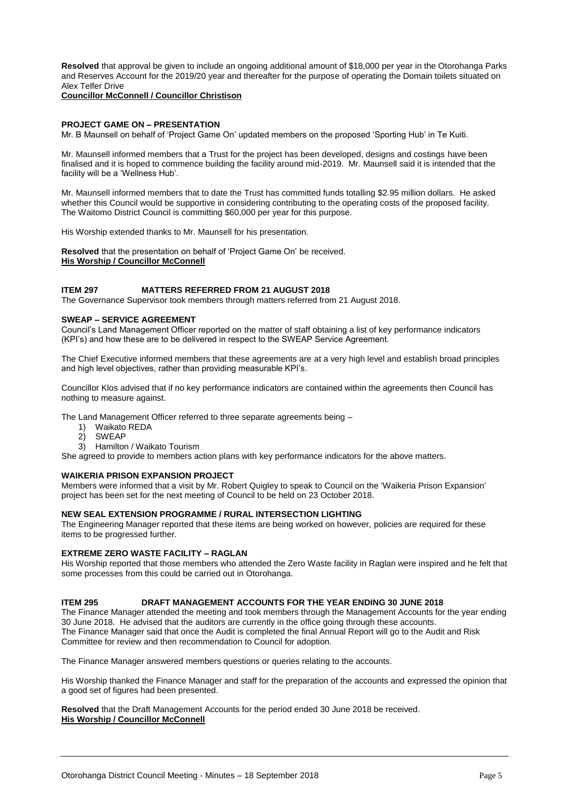**Resolved** that approval be given to include an ongoing additional amount of \$18,000 per year in the Otorohanga Parks and Reserves Account for the 2019/20 year and thereafter for the purpose of operating the Domain toilets situated on Alex Telfer Drive

#### **Councillor McConnell / Councillor Christison**

#### **PROJECT GAME ON – PRESENTATION**

Mr. B Maunsell on behalf of 'Project Game On' updated members on the proposed 'Sporting Hub' in Te Kuiti.

Mr. Maunsell informed members that a Trust for the project has been developed, designs and costings have been finalised and it is hoped to commence building the facility around mid-2019. Mr. Maunsell said it is intended that the facility will be a 'Wellness Hub'.

Mr. Maunsell informed members that to date the Trust has committed funds totalling \$2.95 million dollars. He asked whether this Council would be supportive in considering contributing to the operating costs of the proposed facility. The Waitomo District Council is committing \$60,000 per year for this purpose.

His Worship extended thanks to Mr. Maunsell for his presentation.

**Resolved** that the presentation on behalf of 'Project Game On' be received. **His Worship / Councillor McConnell** 

#### **ITEM 297 MATTERS REFERRED FROM 21 AUGUST 2018**

The Governance Supervisor took members through matters referred from 21 August 2018.

#### **SWEAP – SERVICE AGREEMENT**

Council's Land Management Officer reported on the matter of staff obtaining a list of key performance indicators (KPI's) and how these are to be delivered in respect to the SWEAP Service Agreement.

The Chief Executive informed members that these agreements are at a very high level and establish broad principles and high level objectives, rather than providing measurable KPI's.

Councillor Klos advised that if no key performance indicators are contained within the agreements then Council has nothing to measure against.

The Land Management Officer referred to three separate agreements being –

- 1) Waikato REDA
- 2) SWEAP
- 3) Hamilton / Waikato Tourism

She agreed to provide to members action plans with key performance indicators for the above matters.

#### **WAIKERIA PRISON EXPANSION PROJECT**

Members were informed that a visit by Mr. Robert Quigley to speak to Council on the 'Waikeria Prison Expansion' project has been set for the next meeting of Council to be held on 23 October 2018.

#### **NEW SEAL EXTENSION PROGRAMME / RURAL INTERSECTION LIGHTING**

The Engineering Manager reported that these items are being worked on however, policies are required for these items to be progressed further.

#### **EXTREME ZERO WASTE FACILITY – RAGLAN**

His Worship reported that those members who attended the Zero Waste facility in Raglan were inspired and he felt that some processes from this could be carried out in Otorohanga.

#### **ITEM 295 DRAFT MANAGEMENT ACCOUNTS FOR THE YEAR ENDING 30 JUNE 2018**

The Finance Manager attended the meeting and took members through the Management Accounts for the year ending 30 June 2018. He advised that the auditors are currently in the office going through these accounts. The Finance Manager said that once the Audit is completed the final Annual Report will go to the Audit and Risk Committee for review and then recommendation to Council for adoption.

The Finance Manager answered members questions or queries relating to the accounts.

His Worship thanked the Finance Manager and staff for the preparation of the accounts and expressed the opinion that a good set of figures had been presented.

**Resolved** that the Draft Management Accounts for the period ended 30 June 2018 be received. **His Worship / Councillor McConnell**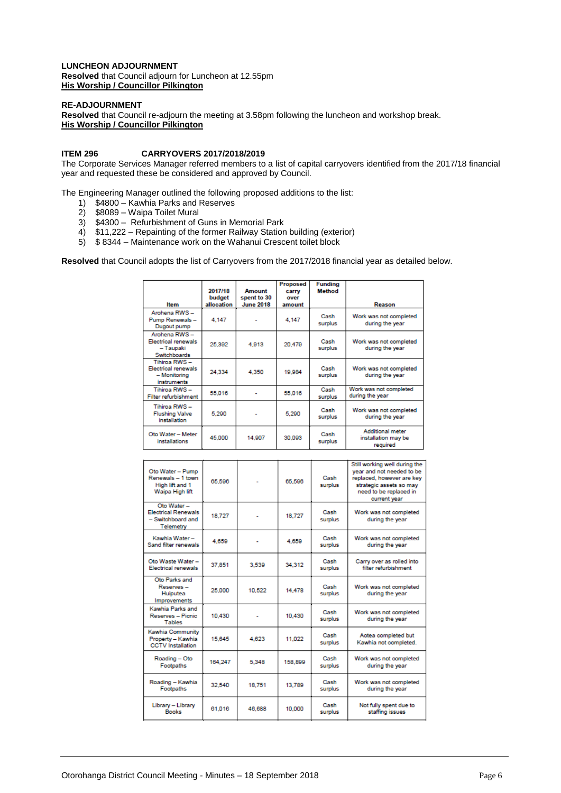#### **LUNCHEON ADJOURNMENT**

**Resolved** that Council adjourn for Luncheon at 12.55pm **His Worship / Councillor Pilkington**

#### **RE-ADJOURNMENT**

**Resolved** that Council re-adjourn the meeting at 3.58pm following the luncheon and workshop break. **His Worship / Councillor Pilkington**

#### **ITEM 296 CARRYOVERS 2017/2018/2019**

The Corporate Services Manager referred members to a list of capital carryovers identified from the 2017/18 financial year and requested these be considered and approved by Council.

The Engineering Manager outlined the following proposed additions to the list:

- 1) \$4800 Kawhia Parks and Reserves
- 2) \$8089 Waipa Toilet Mural
- 3) \$4300 Refurbishment of Guns in Memorial Park
- 4) \$11,222 Repainting of the former Railway Station building (exterior)
- 5) \$ 8344 Maintenance work on the Wahanui Crescent toilet block

**Resolved** that Council adopts the list of Carryovers from the 2017/2018 financial year as detailed below.

| <b>Hem</b>                                                                        | 2017/18<br>budget<br>allocation | Amount<br>spent to 30<br><b>June 2018</b> | Proposed<br>carry<br>over<br>amount | <b>Fundina</b><br><b>Method</b> | Reason                                              |
|-----------------------------------------------------------------------------------|---------------------------------|-------------------------------------------|-------------------------------------|---------------------------------|-----------------------------------------------------|
| Arohena RWS-<br>Pump Renewals-<br>Dugout pump                                     | 4.147                           |                                           | 4.147                               | Cash<br>surplus                 | Work was not completed<br>during the year           |
| Arohena RWS-<br><b>Electrical renewals</b><br>- Taupaki<br><b>Switchboards</b>    | 25,392                          | 4,913                                     | 20,479                              | Cash<br>surplus                 | Work was not completed<br>during the year           |
| Tihiroa RWS -<br><b>Electrical renewals</b><br>- Monitoring<br><b>instruments</b> | 24.334                          | 4.350                                     | 19,984                              | Cash<br>surplus                 | Work was not completed<br>during the year           |
| Tihiroa RWS-<br>Filter refurbishment                                              | 55,016                          |                                           | 55.016                              | Cash<br>surplus                 | Work was not completed<br>during the year           |
| Tihiroa RWS -<br><b>Flushing Valve</b><br>installation                            | 5.290                           |                                           | 5.290                               | Cash<br>surplus                 | Work was not completed<br>during the year           |
| Oto Water - Meter<br>installations                                                | 45,000                          | 14,907                                    | 30.093                              | Cash<br>surplus                 | Additional meter<br>installation may be<br>required |

|                                                                             |         |        |         |                 | Still working well during the                                                                                               |
|-----------------------------------------------------------------------------|---------|--------|---------|-----------------|-----------------------------------------------------------------------------------------------------------------------------|
| Oto Water - Pump<br>Renewals - 1 town<br>High lift and 1<br>Waipa High lift | 65,596  |        | 65,596  | Cash<br>surplus | vear and not needed to be<br>replaced, however are key<br>strategic assets so may<br>need to be replaced in<br>current year |
| Oto Water-<br><b>Electrical Renewals</b><br>- Switchboard and<br>Telemetry  | 18.727  |        | 18.727  | Cash<br>surplus | Work was not completed<br>during the year                                                                                   |
| Kawhia Water-<br>Sand filter renewals                                       | 4.659   |        | 4.659   | Cash<br>surplus | Work was not completed<br>during the year                                                                                   |
| Oto Waste Water -<br>Electrical renewals                                    | 37.851  | 3.539  | 34.312  | Cash<br>surplus | Carry over as rolled into<br>filter refurbishment                                                                           |
| Oto Parks and<br>Reserves -<br>Huiputea<br>Improvements                     | 25,000  | 10.522 | 14.478  | Cash<br>surplus | Work was not completed<br>during the year                                                                                   |
| Kawhia Parks and<br>Reserves - Picnic<br><b>Tables</b>                      | 10.430  |        | 10.430  | Cash<br>surplus | Work was not completed<br>during the year                                                                                   |
| Kawhia Community<br>Property - Kawhia<br><b>CCTV</b> Installation           | 15.645  | 4.623  | 11.022  | Cash<br>surplus | Aotea completed but<br>Kawhia not completed.                                                                                |
| Roading - Oto<br>Footpaths                                                  | 164,247 | 5.348  | 158,899 | Cash<br>surplus | Work was not completed<br>during the year                                                                                   |
| Roading - Kawhia<br>Footpaths                                               | 32.540  | 18.751 | 13.789  | Cash<br>surplus | Work was not completed<br>during the year                                                                                   |
| Library - Library<br><b>Books</b>                                           | 61.016  | 46.688 | 10.000  | Cash<br>surplus | Not fully spent due to<br>staffing issues                                                                                   |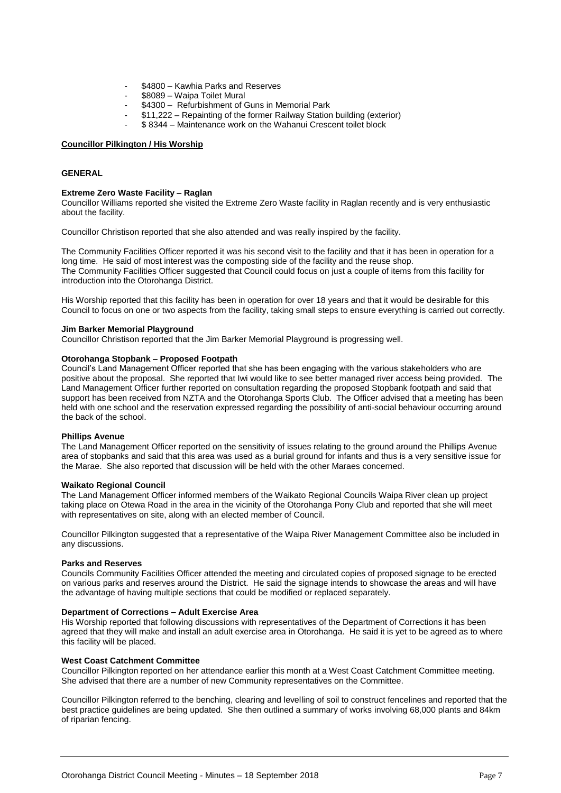- \$4800 Kawhia Parks and Reserves
- \$8089 Waipa Toilet Mural
- \$4300 Refurbishment of Guns in Memorial Park
- \$11,222 Repainting of the former Railway Station building (exterior)
- \$ 8344 Maintenance work on the Wahanui Crescent toilet block

#### **Councillor Pilkington / His Worship**

#### **GENERAL**

#### **Extreme Zero Waste Facility – Raglan**

Councillor Williams reported she visited the Extreme Zero Waste facility in Raglan recently and is very enthusiastic about the facility.

Councillor Christison reported that she also attended and was really inspired by the facility.

The Community Facilities Officer reported it was his second visit to the facility and that it has been in operation for a long time. He said of most interest was the composting side of the facility and the reuse shop. The Community Facilities Officer suggested that Council could focus on just a couple of items from this facility for introduction into the Otorohanga District.

His Worship reported that this facility has been in operation for over 18 years and that it would be desirable for this Council to focus on one or two aspects from the facility, taking small steps to ensure everything is carried out correctly.

#### **Jim Barker Memorial Playground**

Councillor Christison reported that the Jim Barker Memorial Playground is progressing well.

#### **Otorohanga Stopbank – Proposed Footpath**

Council's Land Management Officer reported that she has been engaging with the various stakeholders who are positive about the proposal. She reported that Iwi would like to see better managed river access being provided. The Land Management Officer further reported on consultation regarding the proposed Stopbank footpath and said that support has been received from NZTA and the Otorohanga Sports Club. The Officer advised that a meeting has been held with one school and the reservation expressed regarding the possibility of anti-social behaviour occurring around the back of the school.

#### **Phillips Avenue**

The Land Management Officer reported on the sensitivity of issues relating to the ground around the Phillips Avenue area of stopbanks and said that this area was used as a burial ground for infants and thus is a very sensitive issue for the Marae. She also reported that discussion will be held with the other Maraes concerned.

#### **Waikato Regional Council**

The Land Management Officer informed members of the Waikato Regional Councils Waipa River clean up project taking place on Otewa Road in the area in the vicinity of the Otorohanga Pony Club and reported that she will meet with representatives on site, along with an elected member of Council.

Councillor Pilkington suggested that a representative of the Waipa River Management Committee also be included in any discussions.

#### **Parks and Reserves**

Councils Community Facilities Officer attended the meeting and circulated copies of proposed signage to be erected on various parks and reserves around the District. He said the signage intends to showcase the areas and will have the advantage of having multiple sections that could be modified or replaced separately.

#### **Department of Corrections – Adult Exercise Area**

His Worship reported that following discussions with representatives of the Department of Corrections it has been agreed that they will make and install an adult exercise area in Otorohanga. He said it is yet to be agreed as to where this facility will be placed.

#### **West Coast Catchment Committee**

Councillor Pilkington reported on her attendance earlier this month at a West Coast Catchment Committee meeting. She advised that there are a number of new Community representatives on the Committee.

Councillor Pilkington referred to the benching, clearing and levelling of soil to construct fencelines and reported that the best practice guidelines are being updated. She then outlined a summary of works involving 68,000 plants and 84km of riparian fencing.